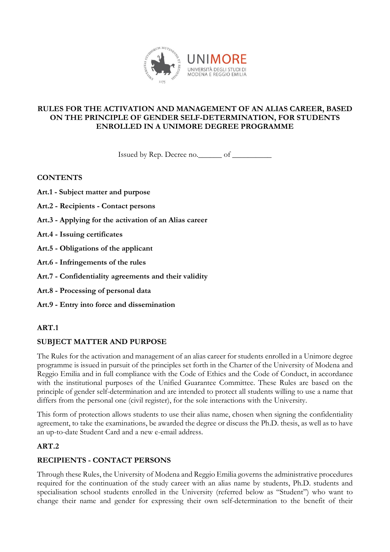

#### **RULES FOR THE ACTIVATION AND MANAGEMENT OF AN ALIAS CAREER, BASED ON THE PRINCIPLE OF GENDER SELF-DETERMINATION, FOR STUDENTS ENROLLED IN A UNIMORE DEGREE PROGRAMME**

Issued by Rep. Decree no.\_\_\_\_\_\_ of \_\_\_\_\_\_\_\_\_\_

**CONTENTS**

- **Art.1 - Subject matter and purpose**
- **Art.2 - Recipients - Contact persons**
- **Art.3 - Applying for the activation of an Alias career**
- **Art.4 - Issuing certificates**
- **Art.5 - Obligations of the applicant**
- **Art.6 - Infringements of the rules**
- **Art.7 - Confidentiality agreements and their validity**
- **Art.8 - Processing of personal data**
- **Art.9 - Entry into force and dissemination**

## **ART.1**

## **SUBJECT MATTER AND PURPOSE**

The Rules for the activation and management of an alias career for students enrolled in a Unimore degree programme is issued in pursuit of the principles set forth in the Charter of the University of Modena and Reggio Emilia and in full compliance with the Code of Ethics and the Code of Conduct, in accordance with the institutional purposes of the Unified Guarantee Committee. These Rules are based on the principle of gender self-determination and are intended to protect all students willing to use a name that differs from the personal one (civil register), for the sole interactions with the University.

This form of protection allows students to use their alias name, chosen when signing the confidentiality agreement, to take the examinations, be awarded the degree or discuss the Ph.D. thesis, as well as to have an up-to-date Student Card and a new e-email address.

## **ART.2**

## **RECIPIENTS - CONTACT PERSONS**

Through these Rules, the University of Modena and Reggio Emilia governs the administrative procedures required for the continuation of the study career with an alias name by students, Ph.D. students and specialisation school students enrolled in the University (referred below as "Student") who want to change their name and gender for expressing their own self-determination to the benefit of their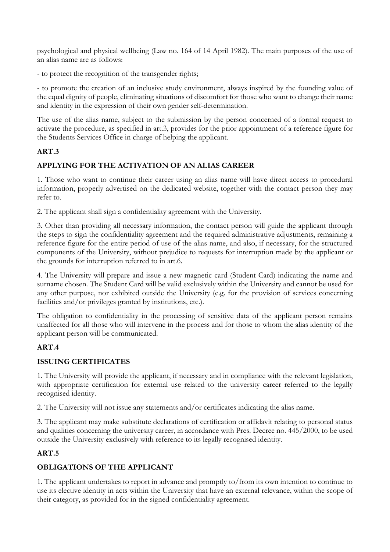psychological and physical wellbeing (Law no. 164 of 14 April 1982). The main purposes of the use of an alias name are as follows:

- to protect the recognition of the transgender rights;

- to promote the creation of an inclusive study environment, always inspired by the founding value of the equal dignity of people, eliminating situations of discomfort for those who want to change their name and identity in the expression of their own gender self-determination.

The use of the alias name, subject to the submission by the person concerned of a formal request to activate the procedure, as specified in art.3, provides for the prior appointment of a reference figure for the Students Services Office in charge of helping the applicant.

## **ART.3**

## **APPLYING FOR THE ACTIVATION OF AN ALIAS CAREER**

1. Those who want to continue their career using an alias name will have direct access to procedural information, properly advertised on the dedicated website, together with the contact person they may refer to.

2. The applicant shall sign a confidentiality agreement with the University.

3. Other than providing all necessary information, the contact person will guide the applicant through the steps to sign the confidentiality agreement and the required administrative adjustments, remaining a reference figure for the entire period of use of the alias name, and also, if necessary, for the structured components of the University, without prejudice to requests for interruption made by the applicant or the grounds for interruption referred to in art.6.

4. The University will prepare and issue a new magnetic card (Student Card) indicating the name and surname chosen. The Student Card will be valid exclusively within the University and cannot be used for any other purpose, nor exhibited outside the University (e.g. for the provision of services concerning facilities and/or privileges granted by institutions, etc.).

The obligation to confidentiality in the processing of sensitive data of the applicant person remains unaffected for all those who will intervene in the process and for those to whom the alias identity of the applicant person will be communicated.

## **ART.4**

#### **ISSUING CERTIFICATES**

1. The University will provide the applicant, if necessary and in compliance with the relevant legislation, with appropriate certification for external use related to the university career referred to the legally recognised identity.

2. The University will not issue any statements and/or certificates indicating the alias name.

3. The applicant may make substitute declarations of certification or affidavit relating to personal status and qualities concerning the university career, in accordance with Pres. Decree no. 445/2000, to be used outside the University exclusively with reference to its legally recognised identity.

## **ART.5**

## **OBLIGATIONS OF THE APPLICANT**

1. The applicant undertakes to report in advance and promptly to/from its own intention to continue to use its elective identity in acts within the University that have an external relevance, within the scope of their category, as provided for in the signed confidentiality agreement.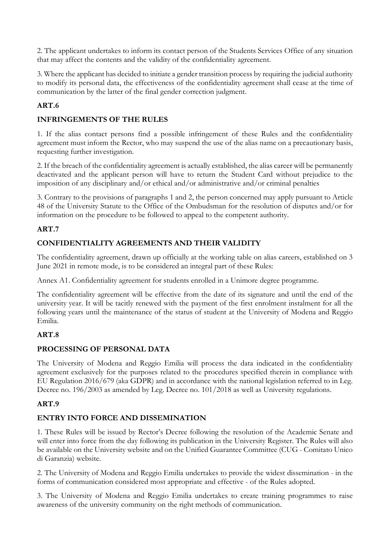2. The applicant undertakes to inform its contact person of the Students Services Office of any situation that may affect the contents and the validity of the confidentiality agreement.

3. Where the applicant has decided to initiate a gender transition process by requiring the judicial authority to modify its personal data, the effectiveness of the confidentiality agreement shall cease at the time of communication by the latter of the final gender correction judgment.

## **ART.6**

## **INFRINGEMENTS OF THE RULES**

1. If the alias contact persons find a possible infringement of these Rules and the confidentiality agreement must inform the Rector, who may suspend the use of the alias name on a precautionary basis, requesting further investigation.

2. If the breach of the confidentiality agreement is actually established, the alias career will be permanently deactivated and the applicant person will have to return the Student Card without prejudice to the imposition of any disciplinary and/or ethical and/or administrative and/or criminal penalties

3. Contrary to the provisions of paragraphs 1 and 2, the person concerned may apply pursuant to Article 48 of the University Statute to the Office of the Ombudsman for the resolution of disputes and/or for information on the procedure to be followed to appeal to the competent authority.

#### **ART.7**

## **CONFIDENTIALITY AGREEMENTS AND THEIR VALIDITY**

The confidentiality agreement, drawn up officially at the working table on alias careers, established on 3 June 2021 in remote mode, is to be considered an integral part of these Rules:

Annex A1. Confidentiality agreement for students enrolled in a Unimore degree programme.

The confidentiality agreement will be effective from the date of its signature and until the end of the university year. It will be tacitly renewed with the payment of the first enrolment instalment for all the following years until the maintenance of the status of student at the University of Modena and Reggio Emilia.

## **ART.8**

## **PROCESSING OF PERSONAL DATA**

The University of Modena and Reggio Emilia will process the data indicated in the confidentiality agreement exclusively for the purposes related to the procedures specified therein in compliance with EU Regulation 2016/679 (aka GDPR) and in accordance with the national legislation referred to in Leg. Decree no. 196/2003 as amended by Leg. Decree no. 101/2018 as well as University regulations.

## **ART.9**

## **ENTRY INTO FORCE AND DISSEMINATION**

1. These Rules will be issued by Rector's Decree following the resolution of the Academic Senate and will enter into force from the day following its publication in the University Register. The Rules will also be available on the University website and on the Unified Guarantee Committee (CUG - Comitato Unico di Garanzia) website.

2. The University of Modena and Reggio Emilia undertakes to provide the widest dissemination - in the forms of communication considered most appropriate and effective - of the Rules adopted.

3. The University of Modena and Reggio Emilia undertakes to create training programmes to raise awareness of the university community on the right methods of communication.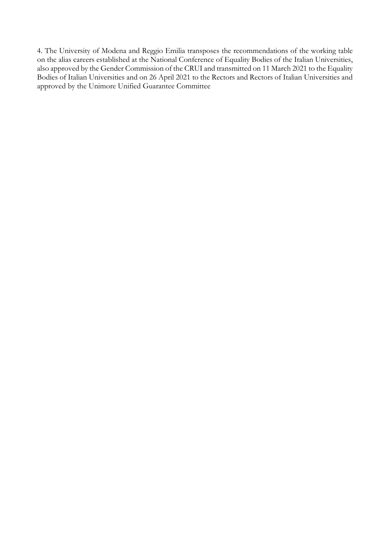4. The University of Modena and Reggio Emilia transposes the recommendations of the working table on the alias careers established at the National Conference of Equality Bodies of the Italian Universities, also approved by the Gender Commission of the CRUI and transmitted on 11 March 2021 to the Equality Bodies of Italian Universities and on 26 April 2021 to the Rectors and Rectors of Italian Universities and approved by the Unimore Unified Guarantee Committee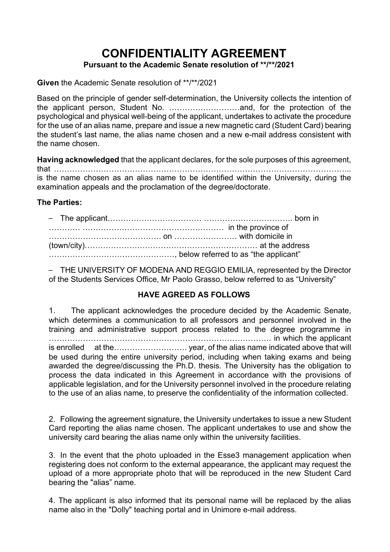# **CONFIDENTIALITY AGREEMENT Pursuant to the Academic Senate resolution of \*\*/\*\*/2021**

**Given** the Academic Senate resolution of \*\*/\*\*/2021

Based on the principle of gender self-determination, the University collects the intention of the applicant person, Student No. ………………………and, for the protection of the psychological and physical well-being of the applicant, undertakes to activate the procedure for the use of an alias name, prepare and issue a new magnetic card (Student Card) bearing the student's last name, the alias name chosen and a new e-mail address consistent with the name chosen.

**Having acknowledged** that the applicant declares, for the sole purposes of this agreement, that …………………………………………………………………………………………………... is the name chosen as an alias name to be identified within the University, during the examination appeals and the proclamation of the degree/doctorate.

## **The Parties:**

|  | in the province of |
|--|--------------------|
|  |                    |
|  |                    |
|  |                    |

- THE UNIVERSITY OF MODENA AND REGGIO EMILIA, represented by the Director of the Students Services Office, Mr Paolo Grasso, below referred to as "University"

## **HAVE AGREED AS FOLLOWS**

1. The applicant acknowledges the procedure decided by the Academic Senate, which determines a communication to all professors and personnel involved in the training and administrative support process related to the degree programme in …………………………………………………………………………. in which the applicant is enrolled at the………………………. year, of the alias name indicated above that will be used during the entire university period, including when taking exams and being awarded the degree/discussing the Ph.D. thesis. The University has the obligation to process the data indicated in this Agreement in accordance with the provisions of applicable legislation, and for the University personnel involved in the procedure relating to the use of an alias name, to preserve the confidentiality of the information collected.

2. Following the agreement signature, the University undertakes to issue a new Student Card reporting the alias name chosen. The applicant undertakes to use and show the university card bearing the alias name only within the university facilities.

3. In the event that the photo uploaded in the Esse3 management application when registering does not conform to the external appearance, the applicant may request the upload of a more appropriate photo that will be reproduced in the new Student Card bearing the "alias" name.

4. The applicant is also informed that its personal name will be replaced by the alias name also in the "Dolly" teaching portal and in Unimore e-mail address.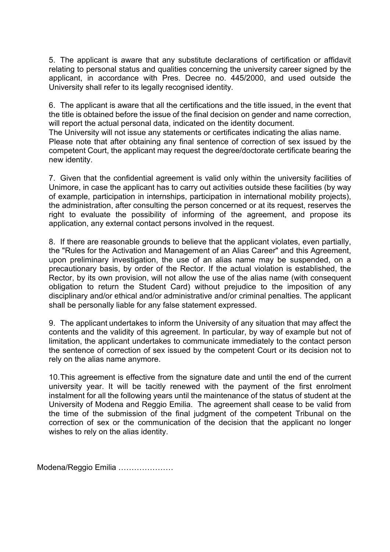5. The applicant is aware that any substitute declarations of certification or affidavit relating to personal status and qualities concerning the university career signed by the applicant, in accordance with Pres. Decree no. 445/2000, and used outside the University shall refer to its legally recognised identity.

6. The applicant is aware that all the certifications and the title issued, in the event that the title is obtained before the issue of the final decision on gender and name correction, will report the actual personal data, indicated on the identity document.

The University will not issue any statements or certificates indicating the alias name. Please note that after obtaining any final sentence of correction of sex issued by the competent Court, the applicant may request the degree/doctorate certificate bearing the new identity.

7. Given that the confidential agreement is valid only within the university facilities of Unimore, in case the applicant has to carry out activities outside these facilities (by way of example, participation in internships, participation in international mobility projects), the administration, after consulting the person concerned or at its request, reserves the right to evaluate the possibility of informing of the agreement, and propose its application, any external contact persons involved in the request.

8. If there are reasonable grounds to believe that the applicant violates, even partially, the "Rules for the Activation and Management of an Alias Career" and this Agreement, upon preliminary investigation, the use of an alias name may be suspended, on a precautionary basis, by order of the Rector. If the actual violation is established, the Rector, by its own provision, will not allow the use of the alias name (with consequent obligation to return the Student Card) without prejudice to the imposition of any disciplinary and/or ethical and/or administrative and/or criminal penalties. The applicant shall be personally liable for any false statement expressed.

9. The applicant undertakes to inform the University of any situation that may affect the contents and the validity of this agreement. In particular, by way of example but not of limitation, the applicant undertakes to communicate immediately to the contact person the sentence of correction of sex issued by the competent Court or its decision not to rely on the alias name anymore.

10.This agreement is effective from the signature date and until the end of the current university year. It will be tacitly renewed with the payment of the first enrolment instalment for all the following years until the maintenance of the status of student at the University of Modena and Reggio Emilia. The agreement shall cease to be valid from the time of the submission of the final judgment of the competent Tribunal on the correction of sex or the communication of the decision that the applicant no longer wishes to rely on the alias identity.

Modena/Reggio Emilia …………………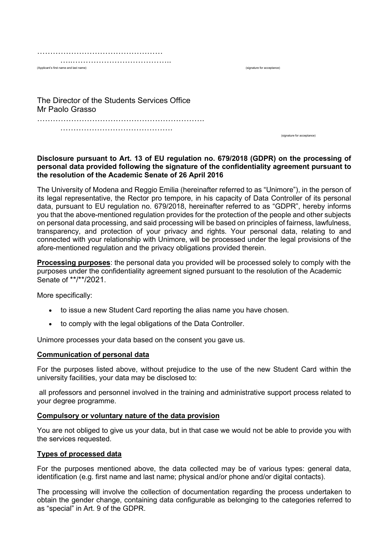| (Applicant's first name and last name) |
|----------------------------------------|
|                                        |

The Director of the Students Services Office Mr Paolo Grasso ……………………………………………………………………………

……………………………………………………

(signature for acceptance)

(signature for acceptance)

#### **Disclosure pursuant to Art. 13 of EU regulation no. 679/2018 (GDPR) on the processing of personal data provided following the signature of the confidentiality agreement pursuant to the resolution of the Academic Senate of 26 April 2016**

The University of Modena and Reggio Emilia (hereinafter referred to as "Unimore"), in the person of its legal representative, the Rector pro tempore, in his capacity of Data Controller of its personal data, pursuant to EU regulation no. 679/2018, hereinafter referred to as "GDPR", hereby informs you that the above-mentioned regulation provides for the protection of the people and other subjects on personal data processing, and said processing will be based on principles of fairness, lawfulness, transparency, and protection of your privacy and rights. Your personal data, relating to and connected with your relationship with Unimore, will be processed under the legal provisions of the afore-mentioned regulation and the privacy obligations provided therein.

**Processing purposes**: the personal data you provided will be processed solely to comply with the purposes under the confidentiality agreement signed pursuant to the resolution of the Academic Senate of \*\*/\*\*/2021.

More specifically:

- to issue a new Student Card reporting the alias name you have chosen.
- to comply with the legal obligations of the Data Controller.

Unimore processes your data based on the consent you gave us.

#### **Communication of personal data**

For the purposes listed above, without prejudice to the use of the new Student Card within the university facilities, your data may be disclosed to:

all professors and personnel involved in the training and administrative support process related to your degree programme.

#### **Compulsory or voluntary nature of the data provision**

You are not obliged to give us your data, but in that case we would not be able to provide you with the services requested.

#### **Types of processed data**

For the purposes mentioned above, the data collected may be of various types: general data, identification (e.g. first name and last name; physical and/or phone and/or digital contacts).

The processing will involve the collection of documentation regarding the process undertaken to obtain the gender change, containing data configurable as belonging to the categories referred to as "special" in Art. 9 of the GDPR.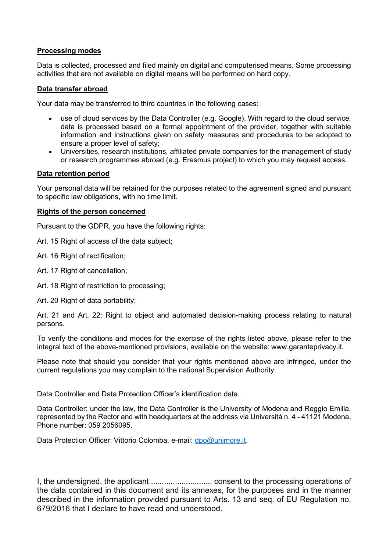#### **Processing modes**

Data is collected, processed and filed mainly on digital and computerised means. Some processing activities that are not available on digital means will be performed on hard copy.

#### **Data transfer abroad**

Your data may be transferred to third countries in the following cases:

- use of cloud services by the Data Controller (e.g. Google). With regard to the cloud service, data is processed based on a formal appointment of the provider, together with suitable information and instructions given on safety measures and procedures to be adopted to ensure a proper level of safety;
- Universities, research institutions, affiliated private companies for the management of study or research programmes abroad (e.g. Erasmus project) to which you may request access.

#### **Data retention period**

Your personal data will be retained for the purposes related to the agreement signed and pursuant to specific law obligations, with no time limit.

#### **Rights of the person concerned**

Pursuant to the GDPR, you have the following rights:

Art. 15 Right of access of the data subject;

Art. 16 Right of rectification;

- Art. 17 Right of cancellation;
- Art. 18 Right of restriction to processing:

Art. 20 Right of data portability;

Art. 21 and Art. 22: Right to object and automated decision-making process relating to natural persons.

To verify the conditions and modes for the exercise of the rights listed above, please refer to the integral text of the above-mentioned provisions, available on the website: www.garanteprivacy.it.

Please note that should you consider that your rights mentioned above are infringed, under the current regulations you may complain to the national Supervision Authority.

Data Controller and Data Protection Officer's identification data.

Data Controller: under the law, the Data Controller is the University of Modena and Reggio Emilia, represented by the Rector and with headquarters at the address via Università n. 4 - 41121 Modena, Phone number: 059 2056095.

Data Protection Officer: Vittorio Colomba, e-mail: [dpo@unimore.it.](mailto:dpo@unimore.it)

I, the undersigned, the applicant ..........................., consent to the processing operations of the data contained in this document and its annexes, for the purposes and in the manner described in the information provided pursuant to Arts. 13 and seq. of EU Regulation no. 679/2016 that I declare to have read and understood.